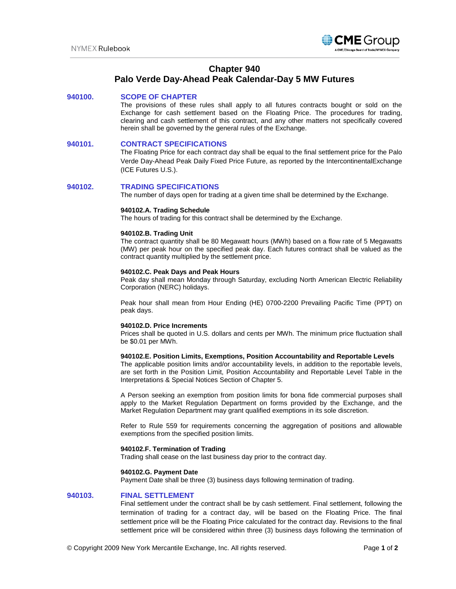

# **Chapter 940**

# **Palo Verde Day-Ahead Peak Calendar-Day 5 MW Futures**

# **940100. SCOPE OF CHAPTER**

The provisions of these rules shall apply to all futures contracts bought or sold on the Exchange for cash settlement based on the Floating Price. The procedures for trading, clearing and cash settlement of this contract, and any other matters not specifically covered herein shall be governed by the general rules of the Exchange.

## **940101. CONTRACT SPECIFICATIONS**

The Floating Price for each contract day shall be equal to the final settlement price for the Palo Verde Day-Ahead Peak Daily Fixed Price Future, as reported by the IntercontinentalExchange (ICE Futures U.S.).

#### **940102. TRADING SPECIFICATIONS**

The number of days open for trading at a given time shall be determined by the Exchange.

#### **940102.A. Trading Schedule**

The hours of trading for this contract shall be determined by the Exchange.

#### **940102.B. Trading Unit**

The contract quantity shall be 80 Megawatt hours (MWh) based on a flow rate of 5 Megawatts (MW) per peak hour on the specified peak day. Each futures contract shall be valued as the contract quantity multiplied by the settlement price.

#### **940102.C. Peak Days and Peak Hours**

Peak day shall mean Monday through Saturday, excluding North American Electric Reliability Corporation (NERC) holidays.

Peak hour shall mean from Hour Ending (HE) 0700-2200 Prevailing Pacific Time (PPT) on peak days.

#### **940102.D. Price Increments**

Prices shall be quoted in U.S. dollars and cents per MWh. The minimum price fluctuation shall be \$0.01 per MWh.

## **940102.E. Position Limits, Exemptions, Position Accountability and Reportable Levels**

The applicable position limits and/or accountability levels, in addition to the reportable levels, are set forth in the Position Limit, Position Accountability and Reportable Level Table in the Interpretations & Special Notices Section of Chapter 5.

A Person seeking an exemption from position limits for bona fide commercial purposes shall apply to the Market Regulation Department on forms provided by the Exchange, and the Market Regulation Department may grant qualified exemptions in its sole discretion.

Refer to Rule 559 for requirements concerning the aggregation of positions and allowable exemptions from the specified position limits.

#### **940102.F. Termination of Trading**

Trading shall cease on the last business day prior to the contract day.

#### **940102.G. Payment Date**

Payment Date shall be three (3) business days following termination of trading.

## **940103. FINAL SETTLEMENT**

Final settlement under the contract shall be by cash settlement. Final settlement, following the termination of trading for a contract day, will be based on the Floating Price. The final settlement price will be the Floating Price calculated for the contract day. Revisions to the final settlement price will be considered within three (3) business days following the termination of